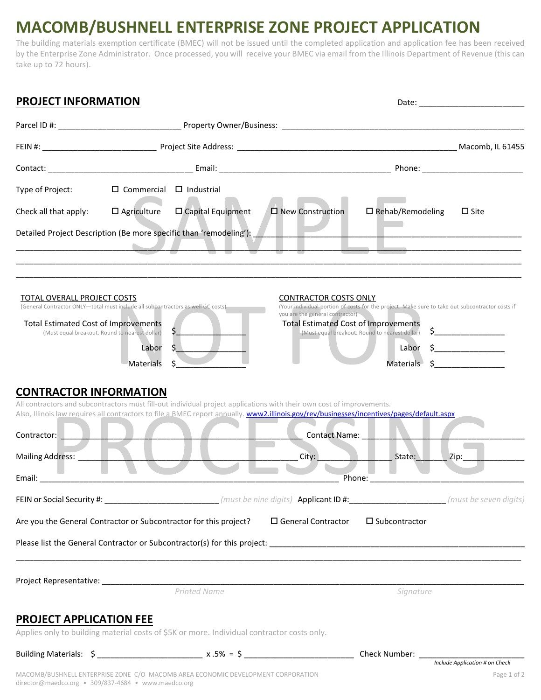## **MACOMB/BUSHNELL ENTERPRISE ZONE PROJECT APPLICATION**

The building materials exemption certificate (BMEC) will not be issued until the completed application and application fee has been received by the Enterprise Zone Administrator. Once processed, you will receive your BMEC via email from the Illinois Department of Revenue (this can take up to 72 hours).

| <b>PROJECT INFORMATION</b>                                                                                                                                                                                       |                                     |                     |                                                                                                                                            |                                                                                                                                                   |                                                               |
|------------------------------------------------------------------------------------------------------------------------------------------------------------------------------------------------------------------|-------------------------------------|---------------------|--------------------------------------------------------------------------------------------------------------------------------------------|---------------------------------------------------------------------------------------------------------------------------------------------------|---------------------------------------------------------------|
|                                                                                                                                                                                                                  |                                     |                     |                                                                                                                                            |                                                                                                                                                   |                                                               |
|                                                                                                                                                                                                                  |                                     |                     |                                                                                                                                            |                                                                                                                                                   |                                                               |
|                                                                                                                                                                                                                  |                                     |                     |                                                                                                                                            |                                                                                                                                                   |                                                               |
| Type of Project:                                                                                                                                                                                                 | $\Box$ Commercial $\Box$ Industrial |                     |                                                                                                                                            |                                                                                                                                                   |                                                               |
| Check all that apply:                                                                                                                                                                                            | $\Box$ Agriculture                  | □ Capital Equipment | <b>D</b> New Construction                                                                                                                  | $\Box$ Rehab/Remodeling                                                                                                                           | $\Box$ Site                                                   |
| Detailed Project Description (Be more specific than 'remodeling'): New York Channel Project Description                                                                                                          |                                     |                     |                                                                                                                                            |                                                                                                                                                   |                                                               |
| TOTAL OVERALL PROJECT COSTS<br>(General Contractor ONLY-total must include all subcontractors as well GC costs)<br><b>Total Estimated Cost of Improvements</b><br>(Must equal breakout. Round to nearest dollar) | Labor<br><b>Materials</b>           |                     | <b>CONTRACTOR COSTS ONLY</b><br>you are the general contractor)<br><b>Total Estimated Cost of Improvements</b>                             | (Your individual portion of costs for the project. Make sure to take out subcontractor costs if<br>(Must equal breakout. Round to nearest dollar) | $\mathsf{S}$ . The same state of $\mathsf{S}$<br>Materials \$ |
| <b>CONTRACTOR INFORMATION</b>                                                                                                                                                                                    |                                     |                     | All contractors and subcontractors must fill-out individual project applications with their own cost of improvements.                      |                                                                                                                                                   |                                                               |
|                                                                                                                                                                                                                  |                                     |                     | Also, Illinois law requires all contractors to file a BMEC report annually. www2.illinois.gov/rev/businesses/incentives/pages/default.aspx |                                                                                                                                                   |                                                               |
| Contractor: <b>Latin Line Line</b>                                                                                                                                                                               |                                     |                     | Contact Name: Name                                                                                                                         |                                                                                                                                                   |                                                               |
| <b>Mailing Address:</b>                                                                                                                                                                                          |                                     |                     | City:                                                                                                                                      | State:                                                                                                                                            | Zip:                                                          |
| Email:                                                                                                                                                                                                           |                                     |                     |                                                                                                                                            | Phone:                                                                                                                                            |                                                               |
|                                                                                                                                                                                                                  |                                     |                     |                                                                                                                                            |                                                                                                                                                   |                                                               |
| Are you the General Contractor or Subcontractor for this project?                                                                                                                                                |                                     |                     | □ General Contractor                                                                                                                       | $\square$ Subcontractor                                                                                                                           |                                                               |
|                                                                                                                                                                                                                  |                                     |                     |                                                                                                                                            |                                                                                                                                                   |                                                               |
|                                                                                                                                                                                                                  |                                     | Printed Name        |                                                                                                                                            | Signature                                                                                                                                         |                                                               |
|                                                                                                                                                                                                                  |                                     |                     |                                                                                                                                            |                                                                                                                                                   |                                                               |
| <b>PROJECT APPLICATION FEE</b><br>Applies only to building material costs of \$5K or more. Individual contractor costs only.                                                                                     |                                     |                     |                                                                                                                                            |                                                                                                                                                   |                                                               |
|                                                                                                                                                                                                                  |                                     |                     |                                                                                                                                            |                                                                                                                                                   |                                                               |
| MACOMB/BUSHNELL ENTERPRISE ZONE C/O MACOMB AREA ECONOMIC DEVELOPMENT CORPORATION<br>director@maedco.org · 309/837-4684 · www.maedco.org                                                                          |                                     |                     |                                                                                                                                            |                                                                                                                                                   | Include Application # on Check<br>Page 1 of 2                 |